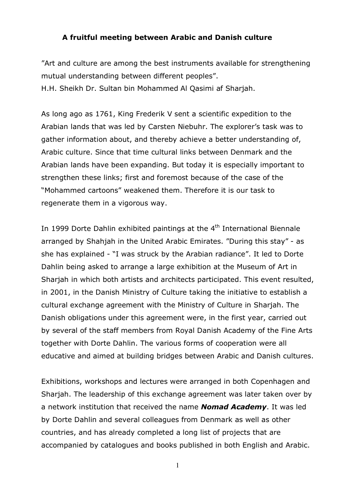## **A fruitful meeting between Arabic and Danish culture**

"Art and culture are among the best instruments available for strengthening mutual understanding between different peoples". H.H. Sheikh Dr. Sultan bin Mohammed Al Qasimi af Sharjah.

As long ago as 1761, King Frederik V sent a scientific expedition to the Arabian lands that was led by Carsten Niebuhr. The explorer's task was to gather information about, and thereby achieve a better understanding of, Arabic culture. Since that time cultural links between Denmark and the Arabian lands have been expanding. But today it is especially important to strengthen these links; first and foremost because of the case of the "Mohammed cartoons" weakened them. Therefore it is our task to regenerate them in a vigorous way.

In 1999 Dorte Dahlin exhibited paintings at the 4<sup>th</sup> International Biennale arranged by Shahjah in the United Arabic Emirates. "During this stay" - as she has explained - "I was struck by the Arabian radiance". It led to Dorte Dahlin being asked to arrange a large exhibition at the Museum of Art in Sharjah in which both artists and architects participated. This event resulted, in 2001, in the Danish Ministry of Culture taking the initiative to establish a cultural exchange agreement with the Ministry of Culture in Sharjah. The Danish obligations under this agreement were, in the first year, carried out by several of the staff members from Royal Danish Academy of the Fine Arts together with Dorte Dahlin. The various forms of cooperation were all educative and aimed at building bridges between Arabic and Danish cultures.

Exhibitions, workshops and lectures were arranged in both Copenhagen and Sharjah. The leadership of this exchange agreement was later taken over by a network institution that received the name *Nomad Academy*. It was led by Dorte Dahlin and several colleagues from Denmark as well as other countries, and has already completed a long list of projects that are accompanied by catalogues and books published in both English and Arabic.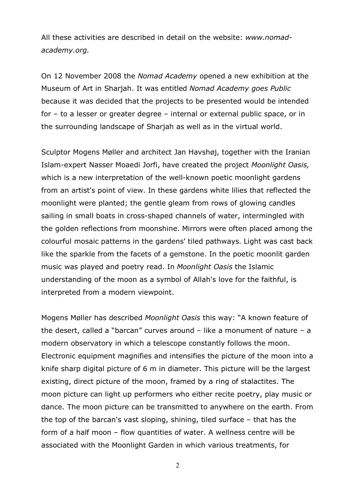All these activities are described in detail on the website: *www.nomadacademy.org.* 

On 12 November 2008 the *Nomad Academy* opened a new exhibition at the Museum of Art in Sharjah. It was entitled *Nomad Academy goes Public* because it was decided that the projects to be presented would be intended for – to a lesser or greater degree – internal or external public space, or in the surrounding landscape of Sharjah as well as in the virtual world.

Sculptor Mogens Møller and architect Jan Havshøj, together with the Iranian Islam-expert Nasser Moaedi Jorfi, have created the project *Moonlight Oasis,* which is a new interpretation of the well-known poetic moonlight gardens from an artist's point of view. In these gardens white lilies that reflected the moonlight were planted; the gentle gleam from rows of glowing candles sailing in small boats in cross-shaped channels of water, intermingled with the golden reflections from moonshine. Mirrors were often placed among the colourful mosaic patterns in the gardens' tiled pathways. Light was cast back like the sparkle from the facets of a gemstone. In the poetic moonlit garden music was played and poetry read. In *Moonlight Oasis* the Islamic understanding of the moon as a symbol of Allah's love for the faithful, is interpreted from a modern viewpoint.

Mogens Møller has described *Moonlight Oasis* this way: "A known feature of the desert, called a "barcan" curves around – like a monument of nature – a modern observatory in which a telescope constantly follows the moon. Electronic equipment magnifies and intensifies the picture of the moon into a knife sharp digital picture of 6 m in diameter. This picture will be the largest existing, direct picture of the moon, framed by a ring of stalactites. The moon picture can light up performers who either recite poetry, play music or dance. The moon picture can be transmitted to anywhere on the earth. From the top of the barcan's vast sloping, shining, tiled surface – that has the form of a half moon – flow quantities of water. A wellness centre will be associated with the Moonlight Garden in which various treatments, for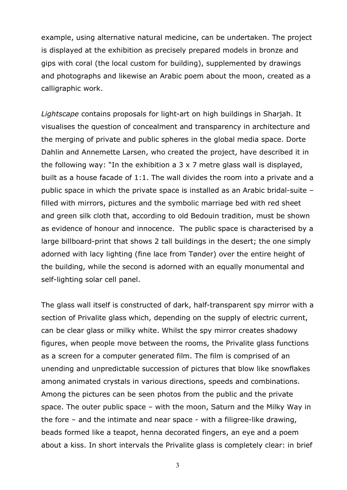example, using alternative natural medicine, can be undertaken. The project is displayed at the exhibition as precisely prepared models in bronze and gips with coral (the local custom for building), supplemented by drawings and photographs and likewise an Arabic poem about the moon, created as a calligraphic work.

*Lightscape* contains proposals for light-art on high buildings in Sharjah. It visualises the question of concealment and transparency in architecture and the merging of private and public spheres in the global media space. Dorte Dahlin and Annemette Larsen, who created the project, have described it in the following way: "In the exhibition a 3 x 7 metre glass wall is displayed, built as a house facade of 1:1. The wall divides the room into a private and a public space in which the private space is installed as an Arabic bridal-suite – filled with mirrors, pictures and the symbolic marriage bed with red sheet and green silk cloth that, according to old Bedouin tradition, must be shown as evidence of honour and innocence. The public space is characterised by a large billboard-print that shows 2 tall buildings in the desert; the one simply adorned with lacy lighting (fine lace from Tønder) over the entire height of the building, while the second is adorned with an equally monumental and self-lighting solar cell panel.

The glass wall itself is constructed of dark, half-transparent spy mirror with a section of Privalite glass which, depending on the supply of electric current, can be clear glass or milky white. Whilst the spy mirror creates shadowy figures, when people move between the rooms, the Privalite glass functions as a screen for a computer generated film. The film is comprised of an unending and unpredictable succession of pictures that blow like snowflakes among animated crystals in various directions, speeds and combinations. Among the pictures can be seen photos from the public and the private space. The outer public space – with the moon, Saturn and the Milky Way in the fore – and the intimate and near space - with a filigree-like drawing, beads formed like a teapot, henna decorated fingers, an eye and a poem about a kiss. In short intervals the Privalite glass is completely clear: in brief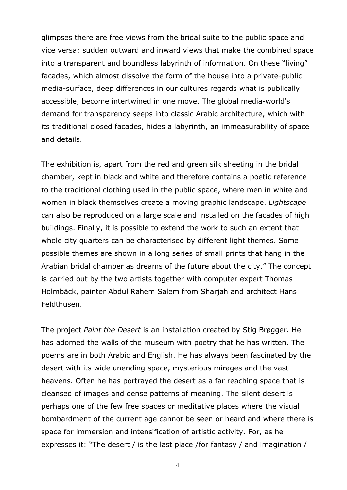glimpses there are free views from the bridal suite to the public space and vice versa; sudden outward and inward views that make the combined space into a transparent and boundless labyrinth of information. On these "living" facades, which almost dissolve the form of the house into a private-public media-surface, deep differences in our cultures regards what is publically accessible, become intertwined in one move. The global media-world's demand for transparency seeps into classic Arabic architecture, which with its traditional closed facades, hides a labyrinth, an immeasurability of space and details.

The exhibition is, apart from the red and green silk sheeting in the bridal chamber, kept in black and white and therefore contains a poetic reference to the traditional clothing used in the public space, where men in white and women in black themselves create a moving graphic landscape. *Lightscape* can also be reproduced on a large scale and installed on the facades of high buildings. Finally, it is possible to extend the work to such an extent that whole city quarters can be characterised by different light themes. Some possible themes are shown in a long series of small prints that hang in the Arabian bridal chamber as dreams of the future about the city." The concept is carried out by the two artists together with computer expert Thomas Holmbäck, painter Abdul Rahem Salem from Sharjah and architect Hans Feldthusen.

The project *Paint the Desert* is an installation created by Stig Brøgger. He has adorned the walls of the museum with poetry that he has written. The poems are in both Arabic and English. He has always been fascinated by the desert with its wide unending space, mysterious mirages and the vast heavens. Often he has portrayed the desert as a far reaching space that is cleansed of images and dense patterns of meaning. The silent desert is perhaps one of the few free spaces or meditative places where the visual bombardment of the current age cannot be seen or heard and where there is space for immersion and intensification of artistic activity. For, as he expresses it: "The desert / is the last place /for fantasy / and imagination /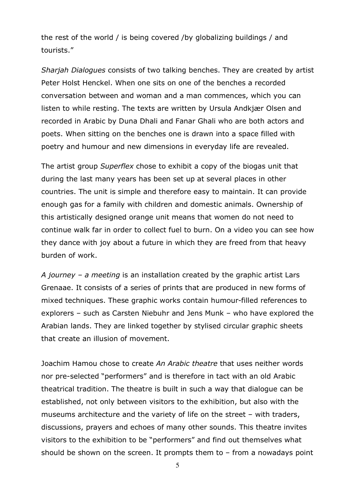the rest of the world / is being covered /by globalizing buildings / and tourists."

*Sharjah Dialogues* consists of two talking benches. They are created by artist Peter Holst Henckel. When one sits on one of the benches a recorded conversation between and woman and a man commences, which you can listen to while resting. The texts are written by Ursula Andkjær Olsen and recorded in Arabic by Duna Dhali and Fanar Ghali who are both actors and poets. When sitting on the benches one is drawn into a space filled with poetry and humour and new dimensions in everyday life are revealed.

The artist group *Superflex* chose to exhibit a copy of the biogas unit that during the last many years has been set up at several places in other countries. The unit is simple and therefore easy to maintain. It can provide enough gas for a family with children and domestic animals. Ownership of this artistically designed orange unit means that women do not need to continue walk far in order to collect fuel to burn. On a video you can see how they dance with joy about a future in which they are freed from that heavy burden of work.

*A journey – a meeting* is an installation created by the graphic artist Lars Grenaae. It consists of a series of prints that are produced in new forms of mixed techniques. These graphic works contain humour-filled references to explorers – such as Carsten Niebuhr and Jens Munk – who have explored the Arabian lands. They are linked together by stylised circular graphic sheets that create an illusion of movement.

Joachim Hamou chose to create *An Arabic theatre* that uses neither words nor pre-selected "performers" and is therefore in tact with an old Arabic theatrical tradition. The theatre is built in such a way that dialogue can be established, not only between visitors to the exhibition, but also with the museums architecture and the variety of life on the street – with traders, discussions, prayers and echoes of many other sounds. This theatre invites visitors to the exhibition to be "performers" and find out themselves what should be shown on the screen. It prompts them to – from a nowadays point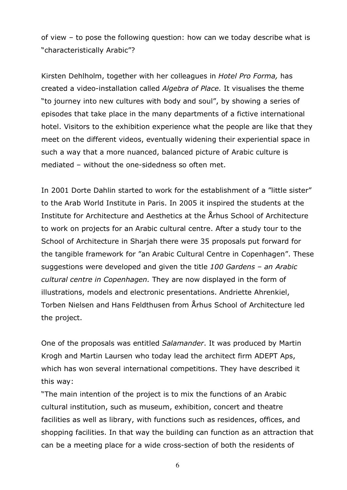of view – to pose the following question: how can we today describe what is "characteristically Arabic"?

Kirsten Dehlholm, together with her colleagues in *Hotel Pro Forma,* has created a video-installation called *Algebra of Place.* It visualises the theme "to journey into new cultures with body and soul", by showing a series of episodes that take place in the many departments of a fictive international hotel. Visitors to the exhibition experience what the people are like that they meet on the different videos, eventually widening their experiential space in such a way that a more nuanced, balanced picture of Arabic culture is mediated – without the one-sidedness so often met.

In 2001 Dorte Dahlin started to work for the establishment of a "little sister" to the Arab World Institute in Paris. In 2005 it inspired the students at the Institute for Architecture and Aesthetics at the Århus School of Architecture to work on projects for an Arabic cultural centre. After a study tour to the School of Architecture in Sharjah there were 35 proposals put forward for the tangible framework for "an Arabic Cultural Centre in Copenhagen". These suggestions were developed and given the title *100 Gardens – an Arabic cultural centre in Copenhagen.* They are now displayed in the form of illustrations, models and electronic presentations. Andriette Ahrenkiel, Torben Nielsen and Hans Feldthusen from Århus School of Architecture led the project.

One of the proposals was entitled *Salamander*. It was produced by Martin Krogh and Martin Laursen who today lead the architect firm ADEPT Aps, which has won several international competitions. They have described it this way:

"The main intention of the project is to mix the functions of an Arabic cultural institution, such as museum, exhibition, concert and theatre facilities as well as library, with functions such as residences, offices, and shopping facilities. In that way the building can function as an attraction that can be a meeting place for a wide cross-section of both the residents of